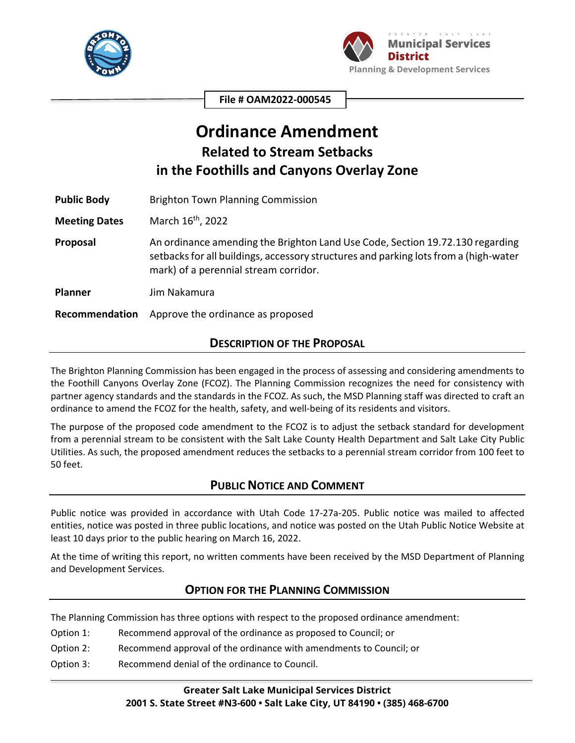



**File # OAM2022-000545**

# **Ordinance Amendment Related to Stream Setbacks in the Foothills and Canyons Overlay Zone**

Public Body **Brighton Town Planning Commission** 

**Meeting Dates** March 16<sup>th</sup>, 2022

**Proposal** An ordinance amending the Brighton Land Use Code, Section 19.72.130 regarding setbacks for all buildings, accessory structures and parking lots from a (high-water mark) of a perennial stream corridor.

**Planner** Jim Nakamura

**Recommendation** Approve the ordinance as proposed

### **DESCRIPTION OF THE PROPOSAL**

The Brighton Planning Commission has been engaged in the process of assessing and considering amendments to the Foothill Canyons Overlay Zone (FCOZ). The Planning Commission recognizes the need for consistency with partner agency standards and the standards in the FCOZ. As such, the MSD Planning staff was directed to craft an ordinance to amend the FCOZ for the health, safety, and well-being of its residents and visitors.

The purpose of the proposed code amendment to the FCOZ is to adjust the setback standard for development from a perennial stream to be consistent with the Salt Lake County Health Department and Salt Lake City Public Utilities. As such, the proposed amendment reduces the setbacks to a perennial stream corridor from 100 feet to 50 feet.

### **PUBLIC NOTICE AND COMMENT**

Public notice was provided in accordance with Utah Code 17-27a-205. Public notice was mailed to affected entities, notice was posted in three public locations, and notice was posted on the Utah Public Notice Website at least 10 days prior to the public hearing on March 16, 2022.

At the time of writing this report, no written comments have been received by the MSD Department of Planning and Development Services.

### **OPTION FOR THE PLANNING COMMISSION**

The Planning Commission has three options with respect to the proposed ordinance amendment:

- Option 1: Recommend approval of the ordinance as proposed to Council; or
- Option 2: Recommend approval of the ordinance with amendments to Council; or
- Option 3: Recommend denial of the ordinance to Council.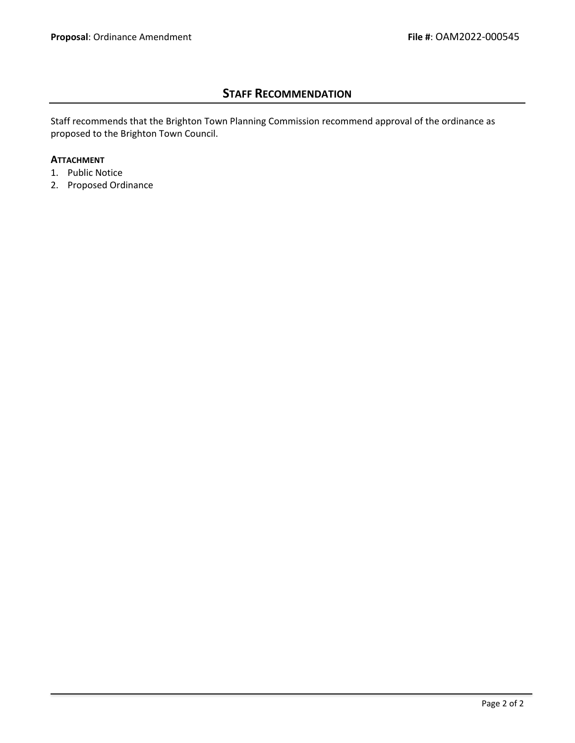## **STAFF RECOMMENDATION**

Staff recommends that the Brighton Town Planning Commission recommend approval of the ordinance as proposed to the Brighton Town Council.

#### **ATTACHMENT**

- 1. Public Notice
- 2. Proposed Ordinance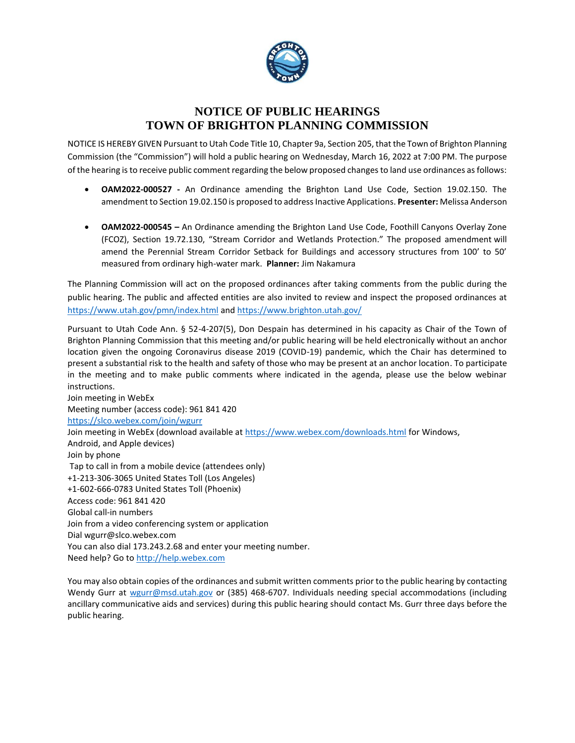

# **NOTICE OF PUBLIC HEARINGS TOWN OF BRIGHTON PLANNING COMMISSION**

NOTICE IS HEREBY GIVEN Pursuant to Utah Code Title 10, Chapter 9a, Section 205, that the Town of Brighton Planning Commission (the "Commission") will hold a public hearing on Wednesday, March 16, 2022 at 7:00 PM. The purpose of the hearing is to receive public comment regarding the below proposed changes to land use ordinances as follows:

- **OAM2022-000527 -** An Ordinance amending the Brighton Land Use Code, Section 19.02.150. The amendment to Section 19.02.150 is proposed to address Inactive Applications. **Presenter:** Melissa Anderson
- **OAM2022-000545 –** An Ordinance amending the Brighton Land Use Code, Foothill Canyons Overlay Zone (FCOZ), Section 19.72.130, "Stream Corridor and Wetlands Protection." The proposed amendment will amend the Perennial Stream Corridor Setback for Buildings and accessory structures from 100' to 50' measured from ordinary high-water mark. **Planner:** Jim Nakamura

The Planning Commission will act on the proposed ordinances after taking comments from the public during the public hearing. The public and affected entities are also invited to review and inspect the proposed ordinances at <https://www.utah.gov/pmn/index.html> and <https://www.brighton.utah.gov/>

Pursuant to Utah Code Ann. § 52-4-207(5), Don Despain has determined in his capacity as Chair of the Town of Brighton Planning Commission that this meeting and/or public hearing will be held electronically without an anchor location given the ongoing Coronavirus disease 2019 (COVID-19) pandemic, which the Chair has determined to present a substantial risk to the health and safety of those who may be present at an anchor location. To participate in the meeting and to make public comments where indicated in the agenda, please use the below webinar instructions.

Join meeting in WebEx Meeting number (access code): 961 841 420 <https://slco.webex.com/join/wgurr> Join meeting in WebEx (download available at<https://www.webex.com/downloads.html> for Windows, Android, and Apple devices) Join by phone Tap to call in from a mobile device (attendees only) +1-213-306-3065 United States Toll (Los Angeles) +1-602-666-0783 United States Toll (Phoenix) Access code: 961 841 420 Global call-in numbers Join from a video conferencing system or application Dial wgurr@slco.webex.com You can also dial 173.243.2.68 and enter your meeting number. Need help? Go to [http://help.webex.com](http://help.webex.com/)

You may also obtain copies of the ordinances and submit written comments prior to the public hearing by contacting Wendy Gurr at [wgurr@msd.utah.gov](mailto:wgurr@msd.utah.gov) or (385) 468-6707. Individuals needing special accommodations (including ancillary communicative aids and services) during this public hearing should contact Ms. Gurr three days before the public hearing.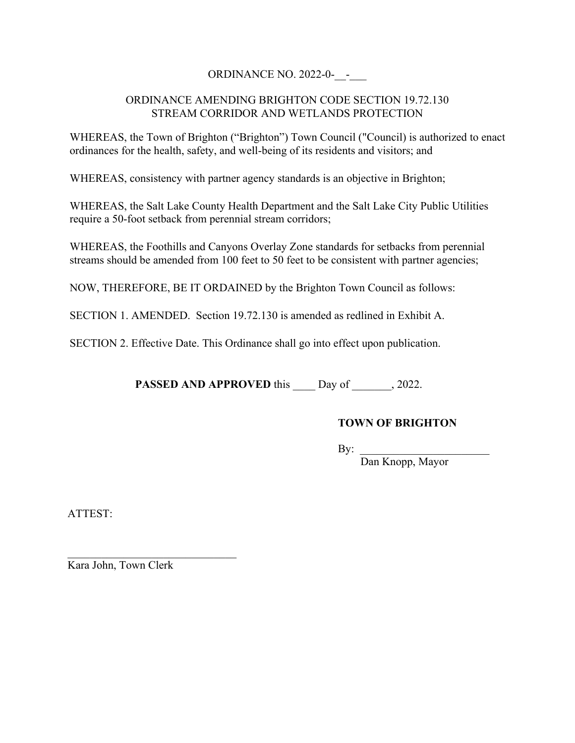### ORDINANCE NO. 2022-0-\_\_-\_\_\_

### ORDINANCE AMENDING BRIGHTON CODE SECTION 19.72.130 STREAM CORRIDOR AND WETLANDS PROTECTION

WHEREAS, the Town of Brighton ("Brighton") Town Council ("Council) is authorized to enact ordinances for the health, safety, and well-being of its residents and visitors; and

WHEREAS, consistency with partner agency standards is an objective in Brighton;

WHEREAS, the Salt Lake County Health Department and the Salt Lake City Public Utilities require a 50-foot setback from perennial stream corridors;

WHEREAS, the Foothills and Canyons Overlay Zone standards for setbacks from perennial streams should be amended from 100 feet to 50 feet to be consistent with partner agencies;

NOW, THEREFORE, BE IT ORDAINED by the Brighton Town Council as follows:

SECTION 1. AMENDED. Section 19.72.130 is amended as redlined in Exhibit A.

SECTION 2. Effective Date. This Ordinance shall go into effect upon publication.

**PASSED AND APPROVED** this Day of , 2022.

### **TOWN OF BRIGHTON**

 $\mathbf{By:}$ 

Dan Knopp, Mayor

ATTEST:

Kara John, Town Clerk

 $\mathcal{L}_\text{max}$  , where  $\mathcal{L}_\text{max}$  and  $\mathcal{L}_\text{max}$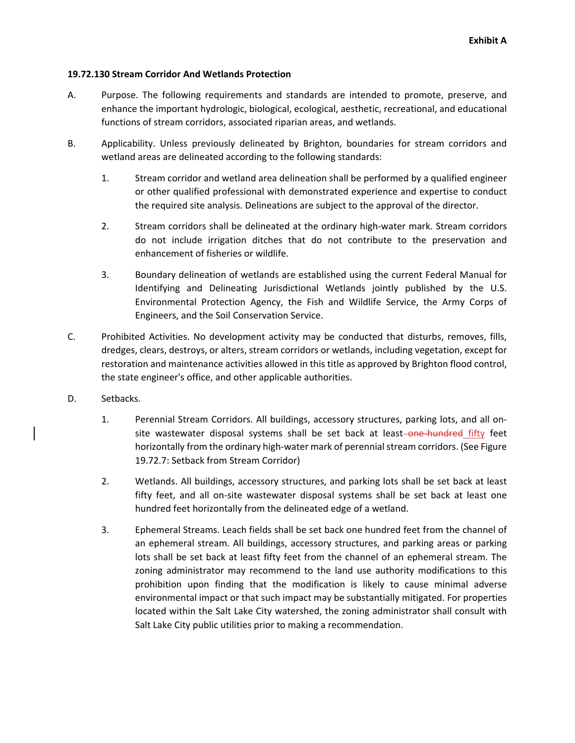#### **19.72.130 Stream Corridor And Wetlands Protection**

- A. Purpose. The following requirements and standards are intended to promote, preserve, and enhance the important hydrologic, biological, ecological, aesthetic, recreational, and educational functions of stream corridors, associated riparian areas, and wetlands.
- B. Applicability. Unless previously delineated by Brighton, boundaries for stream corridors and wetland areas are delineated according to the following standards:
	- 1. Stream corridor and wetland area delineation shall be performed by a qualified engineer or other qualified professional with demonstrated experience and expertise to conduct the required site analysis. Delineations are subject to the approval of the director.
	- 2. Stream corridors shall be delineated at the ordinary high-water mark. Stream corridors do not include irrigation ditches that do not contribute to the preservation and enhancement of fisheries or wildlife.
	- 3. Boundary delineation of wetlands are established using the current Federal Manual for Identifying and Delineating Jurisdictional Wetlands jointly published by the U.S. Environmental Protection Agency, the Fish and Wildlife Service, the Army Corps of Engineers, and the Soil Conservation Service.
- C. Prohibited Activities. No development activity may be conducted that disturbs, removes, fills, dredges, clears, destroys, or alters, stream corridors or wetlands, including vegetation, except for restoration and maintenance activities allowed in this title as approved by Brighton flood control, the state engineer's office, and other applicable authorities.
- D. Setbacks.
	- 1. Perennial Stream Corridors. All buildings, accessory structures, parking lots, and all on‐ site wastewater disposal systems shall be set back at least-one-hundred fifty feet horizontally from the ordinary high-water mark of perennial stream corridors. (See Figure 19.72.7: Setback from Stream Corridor)
	- 2. Wetlands. All buildings, accessory structures, and parking lots shall be set back at least fifty feet, and all on-site wastewater disposal systems shall be set back at least one hundred feet horizontally from the delineated edge of a wetland.
	- 3. Ephemeral Streams. Leach fields shall be set back one hundred feet from the channel of an ephemeral stream. All buildings, accessory structures, and parking areas or parking lots shall be set back at least fifty feet from the channel of an ephemeral stream. The zoning administrator may recommend to the land use authority modifications to this prohibition upon finding that the modification is likely to cause minimal adverse environmental impact or that such impact may be substantially mitigated. For properties located within the Salt Lake City watershed, the zoning administrator shall consult with Salt Lake City public utilities prior to making a recommendation.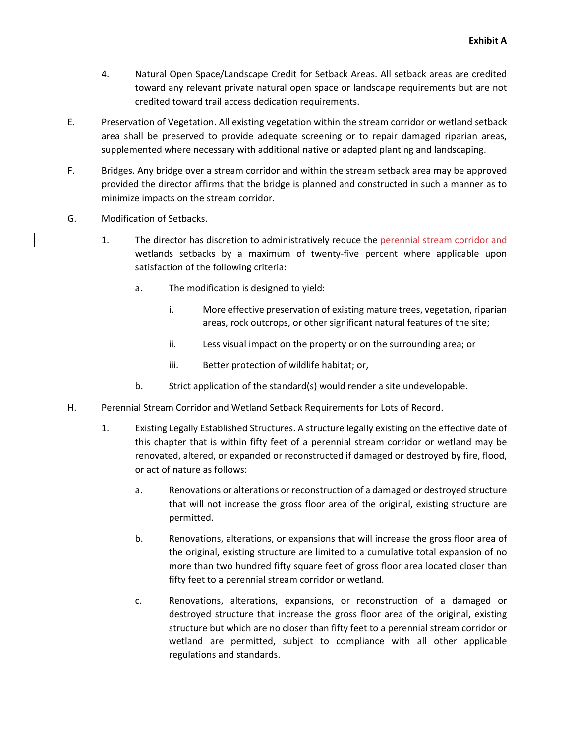- 4. Natural Open Space/Landscape Credit for Setback Areas. All setback areas are credited toward any relevant private natural open space or landscape requirements but are not credited toward trail access dedication requirements.
- E. Preservation of Vegetation. All existing vegetation within the stream corridor or wetland setback area shall be preserved to provide adequate screening or to repair damaged riparian areas, supplemented where necessary with additional native or adapted planting and landscaping.
- F. Bridges. Any bridge over a stream corridor and within the stream setback area may be approved provided the director affirms that the bridge is planned and constructed in such a manner as to minimize impacts on the stream corridor.
- G. Modification of Setbacks.
	- 1. The director has discretion to administratively reduce the perennial stream corridor and wetlands setbacks by a maximum of twenty-five percent where applicable upon satisfaction of the following criteria:
		- a. The modification is designed to yield:
			- i. More effective preservation of existing mature trees, vegetation, riparian areas, rock outcrops, or other significant natural features of the site;
			- ii. Less visual impact on the property or on the surrounding area; or
			- iii. Better protection of wildlife habitat; or,
		- b. Strict application of the standard(s) would render a site undevelopable.
- H. Perennial Stream Corridor and Wetland Setback Requirements for Lots of Record.
	- 1. Existing Legally Established Structures. A structure legally existing on the effective date of this chapter that is within fifty feet of a perennial stream corridor or wetland may be renovated, altered, or expanded or reconstructed if damaged or destroyed by fire, flood, or act of nature as follows:
		- a. Renovations or alterations or reconstruction of a damaged or destroyed structure that will not increase the gross floor area of the original, existing structure are permitted.
		- b. Renovations, alterations, or expansions that will increase the gross floor area of the original, existing structure are limited to a cumulative total expansion of no more than two hundred fifty square feet of gross floor area located closer than fifty feet to a perennial stream corridor or wetland.
		- c. Renovations, alterations, expansions, or reconstruction of a damaged or destroyed structure that increase the gross floor area of the original, existing structure but which are no closer than fifty feet to a perennial stream corridor or wetland are permitted, subject to compliance with all other applicable regulations and standards.